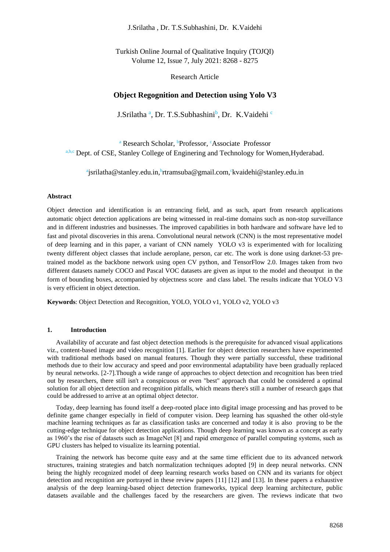J.Srilatha , Dr. T.S.Subhashini, Dr. K.Vaidehi

Turkish Online Journal of Qualitative Inquiry (TOJQI) Volume 12, Issue 7, July 2021: 8268 - 8275

Research Article

# **Object Regognition and Detection using Yolo V3**

J.Srilatha<sup>a</sup>, Dr. T.S.Subhashini<sup>b</sup>, Dr. K.Vaidehi<sup>c</sup>

<sup>a</sup> Research Scholar, <sup>b</sup>Professor, <sup>c</sup>Associate Professor a,b,c Dept. of CSE, Stanley College of Enginering and Technology for Women,Hyderabad.

<sup>a</sup>jsrilatha@stanley.edu.in,<sup>b</sup>rtramsuba@gmail.com,<sup>c</sup>kvaidehi@stanley.edu.in

### **Abstract**

Object detection and identification is an entrancing field, and as such, apart from research applications automatic object detection applications are being witnessed in real-time domains such as non-stop surveillance and in different industries and businesses. The improved capabilities in both hardware and software have led to fast and pivotal discoveries in this arena. Convolutional neural network (CNN) is the most representative model of deep learning and in this paper, a variant of CNN namely YOLO v3 is experimented with for localizing twenty different object classes that include aeroplane, person, car etc. The work is done using darknet-53 pretrained model as the backbone network using open CV python, and TensorFlow 2.0. Images taken from two different datasets namely COCO and Pascal VOC datasets are given as input to the model and theoutput in the form of bounding boxes, accompanied by objectness score and class label. The results indicate that YOLO V3 is very efficient in object detection.

**Keywords**: Object Detection and Recognition, YOLO, YOLO v1, YOLO v2, YOLO v3

# **1. Introduction**

Availability of accurate and fast object detection methods is the prerequisite for advanced visual applications viz., content-based image and video recognition [1]. Earlier for object detection researchers have experimented with traditional methods based on manual features. Though they were partially successful, these traditional methods due to their low accuracy and speed and poor environmental adaptability have been gradually replaced by neural networks. [2-7].Though a wide range of approaches to object detection and recognition has been tried out by researchers, there still isn't a conspicuous or even "best" approach that could be considered a optimal solution for all object detection and recognition pitfalls, which means there's still a number of research gaps that could be addressed to arrive at an optimal object detector.

Today, deep learning has found itself a deep-rooted place into digital image processing and has proved to be definite game changer especially in field of computer vision. Deep learning has squashed the other old-style machine learning techniques as far as classification tasks are concerned and today it is also proving to be the cutting-edge technique for object detection applications. Though deep learning was known as a concept as early as 1960's the rise of datasets such as ImageNet [8] and rapid emergence of parallel computing systems, such as GPU clusters has helped to visualize its learning potential.

Training the network has become quite easy and at the same time efficient due to its advanced network structures, training strategies and batch normalization techniques adopted [9] in deep neural networks. CNN being the highly recognized model of deep learning research works based on CNN and its variants for object detection and recognition are portrayed in these review papers [11] [12] and [13]. In these papers a exhaustive analysis of the deep learning-based object detection frameworks, typical deep learning architecture, public datasets available and the challenges faced by the researchers are given. The reviews indicate that two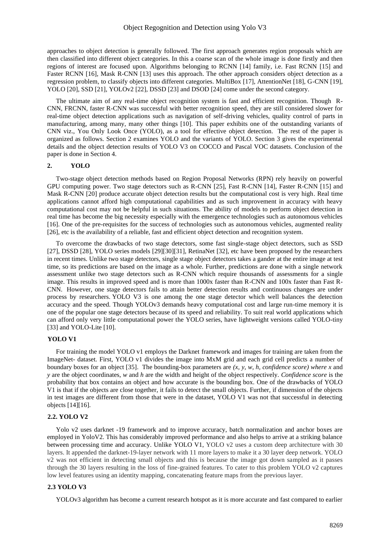approaches to object detection is generally followed. The first approach generates region proposals which are then classified into different object categories. In this a coarse scan of the whole image is done firstly and then regions of interest are focused upon. Algorithms belonging to RCNN [14] family, i.e. Fast RCNN [15] and Faster RCNN [16], Mask R-CNN [13] uses this approach. The other approach considers object detection as a regression problem, to classify objects into different categories. MultiBox [17], AttentionNet [18], G-CNN [19], YOLO [20], SSD [21], YOLOv2 [22], DSSD [23] and DSOD [24] come under the second category.

The ultimate aim of any real-time object recognition system is fast and efficient recognition. Though R-CNN, FRCNN, faster R-CNN was successful with better recognition speed, they are still considered slower for real-time object detection applications such as navigation of self-driving vehicles, quality control of parts in manufacturing, among many, many other things [10]. This paper exhibits one of the outstanding variants of CNN viz., You Only Look Once (YOLO), as a tool for effective object detection. The rest of the paper is organized as follows. Section 2 examines YOLO and the variants of YOLO. Section 3 gives the experimental details and the object detection results of YOLO V3 on COCCO and Pascal VOC datasets. Conclusion of the paper is done in Section 4.

## **2. YOLO**

Two-stage object detection methods based on Region Proposal Networks (RPN) rely heavily on powerful GPU computing power. Two stage detectors such as R-CNN [25], Fast R-CNN [14], Faster R-CNN [15] and Mask R-CNN [20] produce accurate object detection results but the computational cost is very high. Real time applications cannot afford high computational capabilities and as such improvement in accuracy with heavy computational cost may not be helpful in such situations. The ability of models to perform object detection in real time has become the big necessity especially with the emergence technologies such as autonomous vehicles [16]. One of the pre-requisites for the success of technologies such as autonomous vehicles, augmented reality [26], etc is the availability of a reliable, fast and efficient object detection and recognition system.

To overcome the drawbacks of two stage detectors, some fast single-stage object detectors, such as SSD [27], DSSD [28], YOLO series models [29][30][31], RetinaNet [32], etc have been proposed by the researchers in recent times. Unlike two stage detectors, single stage object detectors takes a gander at the entire image at test time, so its predictions are based on the image as a whole. Further, predictions are done with a single network assessment unlike two stage detectors such as R-CNN which require thousands of assessments for a single image. This results in improved speed and is more than 1000x faster than R-CNN and 100x faster than Fast R-CNN. However, one stage detectors fails to attain better detection results and continuous changes are under process by researchers. YOLO V3 is one among the one stage detector which well balances the detection accuracy and the speed. Though YOLOv3 demands heavy computational cost and large run-time memory it is one of the popular one stage detectors because of its speed and reliability. To suit real world applications which can afford only very little computational power the YOLO series, have lightweight versions called YOLO-tiny [33] and YOLO-Lite [10].

## **YOLO V1**

For training the model YOLO v1 employs the Darknet framework and images for training are taken from the ImageNet- dataset. First, YOLO v1 divides the image into MxM grid and each grid cell predicts a number of boundary boxes for an object [35]. The bounding-box parameters are *(x, y, w, h, confidence score) where x* and *y* are the object coordinates, *w* and *h* are the width and height of the object respectively. *Confidence score* is the probability that box contains an object and how accurate is the bounding box. One of the drawbacks of YOLO V1 is that if the objects are close together, it fails to detect the small objects. Further, if dimension of the objects in test images are different from those that were in the dataset, YOLO V1 was not that successful in detecting objects [14][16].

# **2.2. YOLO V2**

Yolo v2 uses darknet -19 framework and to improve accuracy, batch normalization and anchor boxes are employed in YoloV2. This has considerably improved performance and also helps to arrive at a striking balance between processing time and accuracy. Unlike YOLO V1, YOLO v2 uses a custom deep architecture with 30 layers. It appended the darknet-19-layer network with 11 more layers to make it a 30 layer deep network. YOLO v2 was not efficient in detecting small objects and this is because the image got down sampled as it passes through the 30 layers resulting in the loss of fine-grained features. To cater to this problem YOLO v2 captures low level features using an identity mapping, concatenating feature maps from the previous layer.

#### **2.3 YOLO V3**

YOLOv3 algorithm has become a current research hotspot as it is more accurate and fast compared to earlier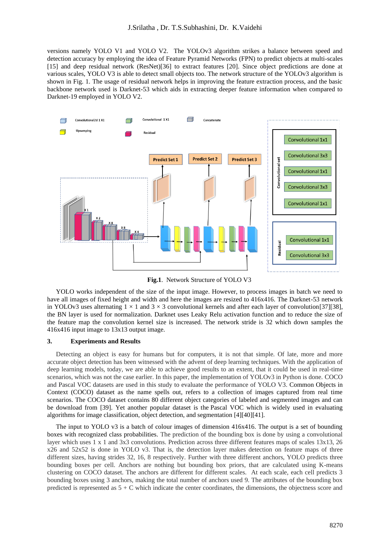versions namely YOLO V1 and YOLO V2. The YOLOv3 algorithm strikes a balance between speed and detection accuracy by employing the idea of Feature Pyramid Networks (FPN) to predict objects at multi-scales [15] and deep residual network (ResNet)[36] to extract features [20]. Since object predictions are done at various scales, YOLO V3 is able to detect small objects too. The network structure of the YOLOv3 algorithm is shown in Fig. 1. The usage of residual network helps in improving the feature extraction process, and the basic backbone network used is Darknet-53 which aids in extracting deeper feature information when compared to Darknet-19 employed in YOLO V2.



**Fig.1**. Network Structure of YOLO V3

YOLO works independent of the size of the input image. However, to process images in batch we need to have all images of fixed height and width and here the images are resized to 416x416. The Darknet-53 network in YOLOv3 uses alternating  $1 \times 1$  and  $3 \times 3$  convolutional kernels and after each layer of convolution[37][38], the BN layer is used for normalization. Darknet uses Leaky Relu activation function and to reduce the size of the feature map the convolution kernel size is increased. The network stride is 32 which down samples the 416x416 input image to 13x13 output image.

## **3. Experiments and Results**

Detecting an object is easy for humans but for computers, it is not that simple. Of late, more and more accurate object detection has been witnessed with the advent of deep learning techniques. With the application of deep learning models, today, we are able to achieve good results to an extent, that it could be used in real-time scenarios, which was not the case earlier. In this paper, the implementation of YOLOv3 in Python is done. COCO and Pascal VOC datasets are used in this study to evaluate the performance of YOLO V3. Common Objects in Context (COCO) dataset as the name spells out, refers to a collection of images captured from real time scenarios. The COCO dataset contains 80 different object categories of labeled and segmented images and can be download from [39]. Yet another popular dataset is the Pascal VOC which is widely used in evaluating algorithms for image classification, object detection, and segmentation [4][40][41].

The input to YOLO v3 is a batch of colour images of dimension 416x416. The output is a set of bounding boxes with recognized class probabilities. The prediction of the bounding box is done by using a convolutional layer which uses 1 x 1 and 3x3 convolutions. Prediction across three different features maps of scales 13x13, 26 x26 and 52x52 is done in YOLO v3. That is, the detection layer makes detection on feature maps of three different sizes, having strides 32, 16, 8 respectively. Further with three different anchors, YOLO predicts three bounding boxes per cell. Anchors are nothing but bounding box priors, that are calculated using K-means clustering on COCO dataset. The anchors are different for different scales. At each scale, each cell predicts 3 bounding boxes using 3 anchors, making the total number of anchors used 9. The attributes of the bounding box predicted is represented as 5 + C which indicate the center coordinates, the dimensions, the objectness score and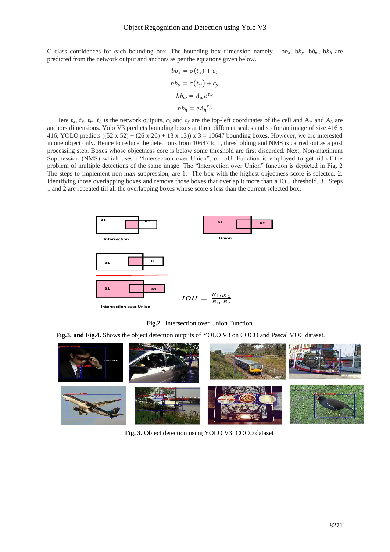C class confidences for each bounding box. The bounding box dimension namely bb<sub>x</sub>, bb<sub>y</sub>, bb<sub>w</sub>, bb<sub>h</sub> are predicted from the network output and anchors as per the equations given below.

$$
bb_x = \sigma(t_x) + c_x
$$
  
\n
$$
bb_y = \sigma(t_y) + c_y
$$
  
\n
$$
bb_w = A_w e^{t_w}
$$
  
\n
$$
bb_h = e A_h^{t_h}
$$

Here  $t_x$ ,  $t_y$ ,  $t_w$ ,  $t_h$  is the network outputs,  $c_x$  and  $c_y$  are the top-left coordinates of the cell and  $A_w$  and  $A_h$  are anchors dimensions. Yolo V3 predicts bounding boxes at three different scales and so for an image of size 416 x 416, YOLO predicts  $((52 \times 52) + (26 \times 26) + 13 \times 13) \times 3 = 10647$  bounding boxes. However, we are interested in one object only. Hence to reduce the detections from 10647 to 1, thresholding and NMS is carried out as a post processing step. Boxes whose objectness core is below some threshold are first discarded. Next, Non-maximum Suppression (NMS) which uses t "Intersection over Union", or IoU. Function is employed to get rid of the problem of multiple detections of the same image. The "Intersection over Union" function is depicted in Fig. 2 The steps to implement non-max suppression, are 1. The box with the highest objectness score is selected. 2. Identifying those overlapping boxes and remove those boxes that overlap it more than a IOU threshold. 3. Steps 1 and 2 are repeated till all the overlapping boxes whose score s less than the current selected box.



**Fig.2**. Intersection over Union Function

**Fig.3. and Fig.4.** Shows the object detection outputs of YOLO V3 on COCO and Pascal VOC dataset.



**Fig. 3.** Object detection using YOLO V3: COCO dataset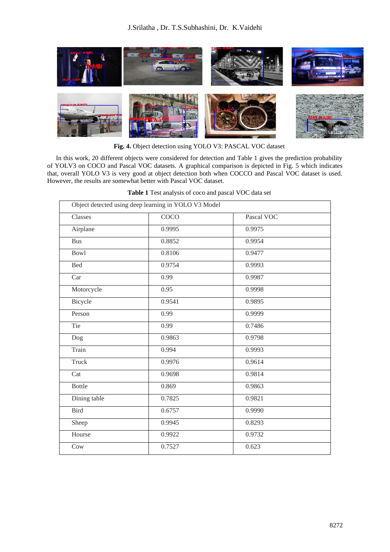

**Fig. 4.** Object detection using YOLO V3: PASCAL VOC dataset

In this work, 20 different objects were considered for detection and Table 1 gives the prediction probability of YOLV3 on COCO and Pascal VOC datasets. A graphical comparison is depicted in Fig. 5 which indicates that, overall YOLO V3 is very good at object detection both when COCCO and Pascal VOC dataset is used. However, the results are somewhat better with Pascal VOC dataset.

| Table 1 Test analysis of coco and pascal VOC data set |  |
|-------------------------------------------------------|--|
|                                                       |  |

|               | Object detected using deep learning in YOLO V3 Model |            |  |
|---------------|------------------------------------------------------|------------|--|
| Classes       | $\overline{COCO}$                                    | Pascal VOC |  |
| Airplane      | 0.9995                                               | 0.9975     |  |
| <b>Bus</b>    | 0.8852                                               | 0.9954     |  |
| <b>Bowl</b>   | 0.8106                                               | 0.9477     |  |
| <b>Bed</b>    | 0.9754                                               | 0.9993     |  |
| Car           | 0.99                                                 | 0.9987     |  |
| Motorcycle    | 0.95                                                 | 0.9998     |  |
| Bicycle       | 0.9541                                               | 0.9895     |  |
| Person        | 0.99                                                 | 0.9999     |  |
| Tie           | 0.99                                                 | 0.7486     |  |
| Dog           | 0.9863                                               | 0.9798     |  |
| Train         | 0.994                                                | 0.9993     |  |
| Truck         | 0.9976                                               | 0.9614     |  |
| Cat           | 0.9698                                               | 0.9814     |  |
| <b>Bottle</b> | 0.869                                                | 0.9863     |  |
| Dining table  | 0.7825                                               | 0.9821     |  |
| <b>Bird</b>   | 0.6757                                               | 0.9990     |  |
| Sheep         | 0.9945                                               | 0.8293     |  |
| Hourse        | 0.9922                                               | 0.9732     |  |
| Cow           | 0.7527                                               | 0.623      |  |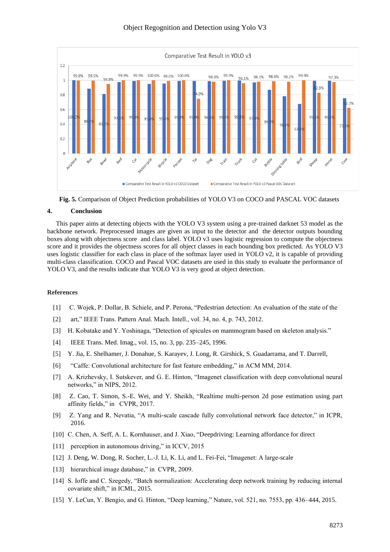

# Object Regognition and Detection using Yolo V3



# **4. Conclusion**

This paper aims at detecting objects with the YOLO V3 system using a pre-trained darknet 53 model as the backbone network. Preprocessed images are given as input to the detector and the detector outputs bounding boxes along with objectness score and class label. YOLO v3 uses logistic regression to compute the objectness score and it provides the objectness scores for all object classes in each bounding box predicted. As YOLO V3 uses logistic classifier for each class in place of the softmax layer used in YOLO v2, it is capable of providing multi-class classification. COCO and Pascal VOC datasets are used in this study to evaluate the performance of YOLO V3, and the results indicate that YOLO V3 is very good at object detection.

# **References**

- [1] C. Wojek, P. Dollar, B. Schiele, and P. Perona, "Pedestrian detection: An evaluation of the state of the
- [2] art," IEEE Trans. Pattern Anal. Mach. Intell., vol. 34, no. 4, p. 743, 2012.
- [3] H. Kobatake and Y. Yoshinaga, "Detection of spicules on mammogram based on skeleton analysis."
- [4] IEEE Trans. Med. Imag., vol. 15, no. 3, pp. 235–245, 1996.
- [5] Y. Jia, E. Shelhamer, J. Donahue, S. Karayev, J. Long, R. Girshick, S. Guadarrama, and T. Darrell,
- [6] "Caffe: Convolutional architecture for fast feature embedding," in ACM MM, 2014.
- [7] A. Krizhevsky, I. Sutskever, and G. E. Hinton, "Imagenet classification with deep convolutional neural networks," in NIPS, 2012.
- [8] Z. Cao, T. Simon, S.-E. Wei, and Y. Sheikh, "Realtime multi-person 2d pose estimation using part affinity fields," in CVPR, 2017.
- [9] Z. Yang and R. Nevatia, "A multi-scale cascade fully convolutional network face detector," in ICPR, 2016.
- [10] C. Chen, A. Seff, A. L. Kornhauser, and J. Xiao, "Deepdriving: Learning affordance for direct
- [11] perception in autonomous driving," in ICCV, 2015
- [12] J. Deng, W. Dong, R. Socher, L.-J. Li, K. Li, and L. Fei-Fei, "Imagenet: A large-scale
- [13] hierarchical image database," in CVPR, 2009.
- [14] S. Ioffe and C. Szegedy, "Batch normalization: Accelerating deep network training by reducing internal covariate shift," in ICML, 2015.
- [15] Y. LeCun, Y. Bengio, and G. Hinton, "Deep learning," Nature, vol. 521, no. 7553, pp. 436–444, 2015.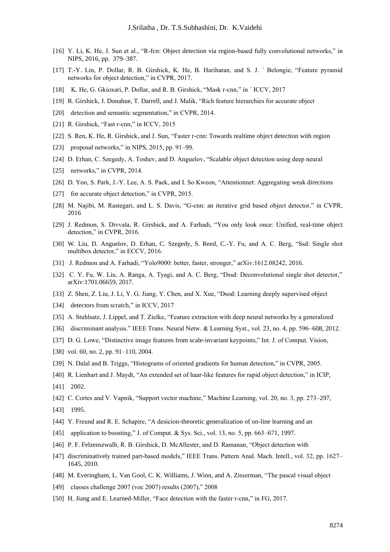- [16] Y. Li, K. He, J. Sun et al., "R-fcn: Object detection via region-based fully convolutional networks," in NIPS, 2016, pp. 379–387.
- [17] T.-Y. Lin, P. Dollar, R. B. Girshick, K. He, B. Hariharan, and S. J. ' Belongie, "Feature pyramid networks for object detection," in CVPR, 2017.
- [18] K. He, G. Gkioxari, P. Dollar, and R. B. Girshick, "Mask r-cnn," in ´ ICCV, 2017
- [19] R. Girshick, J. Donahue, T. Darrell, and J. Malik, "Rich feature hierarchies for accurate object
- [20] detection and semantic segmentation," in CVPR, 2014.
- [21] R. Girshick, "Fast r-cnn," in ICCV, 2015
- [22] S. Ren, K. He, R. Girshick, and J. Sun, "Faster r-cnn: Towards realtime object detection with region
- [23] proposal networks," in NIPS, 2015, pp. 91–99.
- [24] D. Erhan, C. Szegedy, A. Toshev, and D. Anguelov, "Scalable object detection using deep neural
- [25] networks," in CVPR, 2014.
- [26] D. Yoo, S. Park, J.-Y. Lee, A. S. Paek, and I. So Kweon, "Attentionnet: Aggregating weak directions
- [27] for accurate object detection," in CVPR, 2015.
- [28] M. Najibi, M. Rastegari, and L. S. Davis, "G-cnn: an iterative grid based object detector," in CVPR, 2016
- [29] J. Redmon, S. Divvala, R. Girshick, and A. Farhadi, "You only look once: Unified, real-time object detection," in CVPR, 2016.
- [30] W. Liu, D. Anguelov, D. Erhan, C. Szegedy, S. Reed, C.-Y. Fu, and A. C. Berg, "Ssd: Single shot multibox detector," in ECCV, 2016.
- [31] J. Redmon and A. Farhadi, "Yolo9000: better, faster, stronger," arXiv:1612.08242, 2016.
- [32] C. Y. Fu, W. Liu, A. Ranga, A. Tyagi, and A. C. Berg, "Dssd: Deconvolutional single shot detector," arXiv:1701.06659, 2017.
- [33] Z. Shen, Z. Liu, J. Li, Y. G. Jiang, Y. Chen, and X. Xue, "Dsod: Learning deeply supervised object
- [34] detectors from scratch," in ICCV, 2017
- [35] A. Stuhlsatz, J. Lippel, and T. Zielke, "Feature extraction with deep neural networks by a generalized
- [36] discriminant analysis." IEEE Trans. Neural Netw. & Learning Syst., vol. 23, no. 4, pp. 596–608, 2012.
- [37] D. G. Lowe, "Distinctive image features from scale-invariant keypoints," Int. J. of Comput. Vision,
- [38] vol. 60, no. 2, pp. 91–110, 2004.
- [39] N. Dalal and B. Triggs, "Histograms of oriented gradients for human detection," in CVPR, 2005.
- [40] R. Lienhart and J. Maydt, "An extended set of haar-like features for rapid object detection," in ICIP,
- [41] 2002.
- [42] C. Cortes and V. Vapnik, "Support vector machine," Machine Learning, vol. 20, no. 3, pp. 273–297,
- [43] 1995.
- [44] Y. Freund and R. E. Schapire, "A desicion-theoretic generalization of on-line learning and an
- [45] application to boosting," J. of Comput. & Sys. Sci., vol. 13, no. 5, pp. 663–671, 1997.
- [46] P. F. Felzenszwalb, R. B. Girshick, D. McAllester, and D. Ramanan, "Object detection with
- [47] discriminatively trained part-based models," IEEE Trans. Pattern Anal. Mach. Intell., vol. 32, pp. 1627– 1645, 2010.
- [48] M. Everingham, L. Van Gool, C. K. Williams, J. Winn, and A. Zisserman, "The pascal visual object
- [49] classes challenge 2007 (voc 2007) results (2007)," 2008
- [50] H. Jiang and E. Learned-Miller, "Face detection with the faster r-cnn," in FG, 2017.